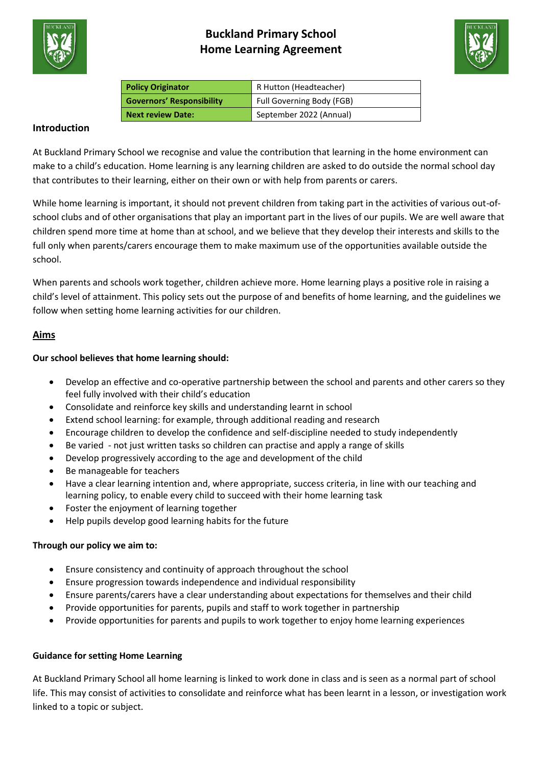



| <b>Policy Originator</b>         | R Hutton (Headteacher)    |
|----------------------------------|---------------------------|
| <b>Governors' Responsibility</b> | Full Governing Body (FGB) |
| <b>Next review Date:</b>         | September 2022 (Annual)   |

## **Introduction**

At Buckland Primary School we recognise and value the contribution that learning in the home environment can make to a child's education. Home learning is any learning children are asked to do outside the normal school day that contributes to their learning, either on their own or with help from parents or carers.

While home learning is important, it should not prevent children from taking part in the activities of various out-ofschool clubs and of other organisations that play an important part in the lives of our pupils. We are well aware that children spend more time at home than at school, and we believe that they develop their interests and skills to the full only when parents/carers encourage them to make maximum use of the opportunities available outside the school.

When parents and schools work together, children achieve more. Home learning plays a positive role in raising a child's level of attainment. This policy sets out the purpose of and benefits of home learning, and the guidelines we follow when setting home learning activities for our children.

## **Aims**

## **Our school believes that home learning should:**

- Develop an effective and co-operative partnership between the school and parents and other carers so they feel fully involved with their child's education
- Consolidate and reinforce key skills and understanding learnt in school
- Extend school learning: for example, through additional reading and research
- Encourage children to develop the confidence and self-discipline needed to study independently
- Be varied not just written tasks so children can practise and apply a range of skills
- Develop progressively according to the age and development of the child
- Be manageable for teachers
- Have a clear learning intention and, where appropriate, success criteria, in line with our teaching and learning policy, to enable every child to succeed with their home learning task
- Foster the enjoyment of learning together
- Help pupils develop good learning habits for the future

## **Through our policy we aim to:**

- Ensure consistency and continuity of approach throughout the school
- Ensure progression towards independence and individual responsibility
- Ensure parents/carers have a clear understanding about expectations for themselves and their child
- Provide opportunities for parents, pupils and staff to work together in partnership
- Provide opportunities for parents and pupils to work together to enjoy home learning experiences

## **Guidance for setting Home Learning**

At Buckland Primary School all home learning is linked to work done in class and is seen as a normal part of school life. This may consist of activities to consolidate and reinforce what has been learnt in a lesson, or investigation work linked to a topic or subject.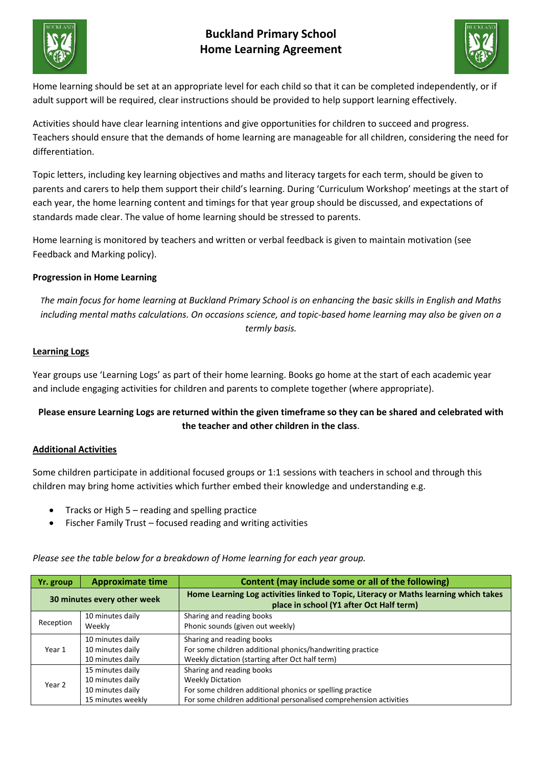



Home learning should be set at an appropriate level for each child so that it can be completed independently, or if adult support will be required, clear instructions should be provided to help support learning effectively.

Activities should have clear learning intentions and give opportunities for children to succeed and progress. Teachers should ensure that the demands of home learning are manageable for all children, considering the need for differentiation.

Topic letters, including key learning objectives and maths and literacy targets for each term, should be given to parents and carers to help them support their child's learning. During 'Curriculum Workshop' meetings at the start of each year, the home learning content and timings for that year group should be discussed, and expectations of standards made clear. The value of home learning should be stressed to parents.

Home learning is monitored by teachers and written or verbal feedback is given to maintain motivation (see Feedback and Marking policy).

## **Progression in Home Learning**

*The main focus for home learning at Buckland Primary School is on enhancing the basic skills in English and Maths including mental maths calculations. On occasions science, and topic-based home learning may also be given on a termly basis.*

## **Learning Logs**

Year groups use 'Learning Logs' as part of their home learning. Books go home at the start of each academic year and include engaging activities for children and parents to complete together (where appropriate).

## **Please ensure Learning Logs are returned within the given timeframe so they can be shared and celebrated with the teacher and other children in the class**.

## **Additional Activities**

Some children participate in additional focused groups or 1:1 sessions with teachers in school and through this children may bring home activities which further embed their knowledge and understanding e.g.

- Tracks or High 5 reading and spelling practice
- Fischer Family Trust focused reading and writing activities

**Yr. group Approximate time Content (may include some or all of the following) 30 minutes every other week Home Learning Log activities linked to Topic, Literacy or Maths learning which takes place in school (Y1 after Oct Half term)** Reception 10 minutes daily Weekly Sharing and reading books Phonic sounds (given out weekly) Year 1 10 minutes daily 10 minutes daily 10 minutes daily Sharing and reading books For some children additional phonics/handwriting practice Weekly dictation (starting after Oct half term) Year 2 15 minutes daily 10 minutes daily 10 minutes daily 15 minutes weekly Sharing and reading books Weekly Dictation For some children additional phonics or spelling practice For some children additional personalised comprehension activities

*Please see the table below for a breakdown of Home learning for each year group.*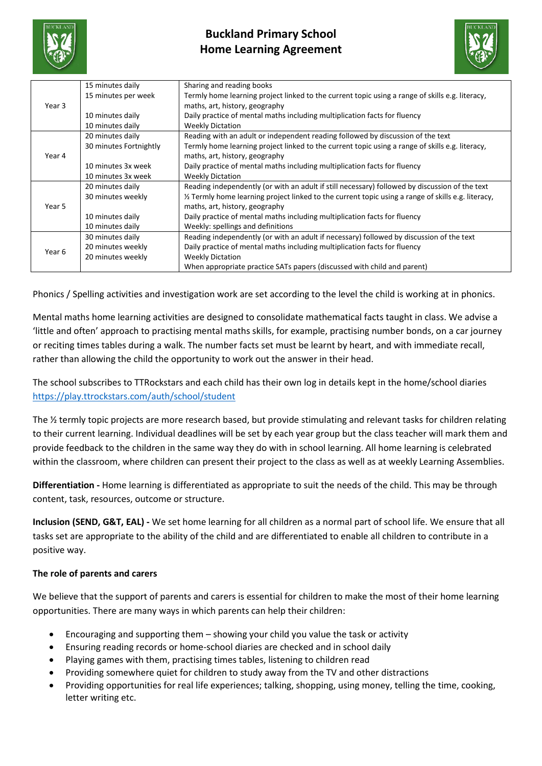



| Year 3 | 15 minutes daily       | Sharing and reading books                                                                           |
|--------|------------------------|-----------------------------------------------------------------------------------------------------|
|        | 15 minutes per week    | Termly home learning project linked to the current topic using a range of skills e.g. literacy,     |
|        |                        | maths, art, history, geography                                                                      |
|        | 10 minutes daily       | Daily practice of mental maths including multiplication facts for fluency                           |
|        | 10 minutes daily       | <b>Weekly Dictation</b>                                                                             |
| Year 4 | 20 minutes daily       | Reading with an adult or independent reading followed by discussion of the text                     |
|        | 30 minutes Fortnightly | Termly home learning project linked to the current topic using a range of skills e.g. literacy,     |
|        |                        | maths, art, history, geography                                                                      |
|        | 10 minutes 3x week     | Daily practice of mental maths including multiplication facts for fluency                           |
|        | 10 minutes 3x week     | <b>Weekly Dictation</b>                                                                             |
| Year 5 | 20 minutes daily       | Reading independently (or with an adult if still necessary) followed by discussion of the text      |
|        | 30 minutes weekly      | 1/2 Termly home learning project linked to the current topic using a range of skills e.g. literacy, |
|        |                        | maths, art, history, geography                                                                      |
|        | 10 minutes daily       | Daily practice of mental maths including multiplication facts for fluency                           |
|        | 10 minutes daily       | Weekly: spellings and definitions                                                                   |
| Year 6 | 30 minutes daily       | Reading independently (or with an adult if necessary) followed by discussion of the text            |
|        | 20 minutes weekly      | Daily practice of mental maths including multiplication facts for fluency                           |
|        | 20 minutes weekly      | <b>Weekly Dictation</b>                                                                             |
|        |                        | When appropriate practice SATs papers (discussed with child and parent)                             |

Phonics / Spelling activities and investigation work are set according to the level the child is working at in phonics.

Mental maths home learning activities are designed to consolidate mathematical facts taught in class. We advise a 'little and often' approach to practising mental maths skills, for example, practising number bonds, on a car journey or reciting times tables during a walk. The number facts set must be learnt by heart, and with immediate recall, rather than allowing the child the opportunity to work out the answer in their head.

The school subscribes to TTRockstars and each child has their own log in details kept in the home/school diaries <https://play.ttrockstars.com/auth/school/student>

The ½ termly topic projects are more research based, but provide stimulating and relevant tasks for children relating to their current learning. Individual deadlines will be set by each year group but the class teacher will mark them and provide feedback to the children in the same way they do with in school learning. All home learning is celebrated within the classroom, where children can present their project to the class as well as at weekly Learning Assemblies.

**Differentiation -** Home learning is differentiated as appropriate to suit the needs of the child. This may be through content, task, resources, outcome or structure.

**Inclusion (SEND, G&T, EAL) -** We set home learning for all children as a normal part of school life. We ensure that all tasks set are appropriate to the ability of the child and are differentiated to enable all children to contribute in a positive way.

## **The role of parents and carers**

We believe that the support of parents and carers is essential for children to make the most of their home learning opportunities. There are many ways in which parents can help their children:

- Encouraging and supporting them showing your child you value the task or activity
- Ensuring reading records or home-school diaries are checked and in school daily
- Playing games with them, practising times tables, listening to children read
- Providing somewhere quiet for children to study away from the TV and other distractions
- Providing opportunities for real life experiences; talking, shopping, using money, telling the time, cooking, letter writing etc.